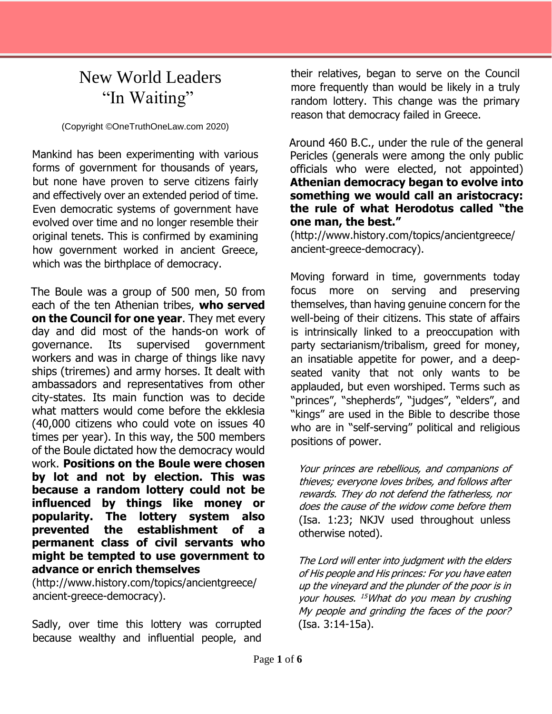## New World Leaders "In Waiting"

(Copyright ©OneTruthOneLaw.com 2020)

Mankind has been experimenting with various forms of government for thousands of years, but none have proven to serve citizens fairly and effectively over an extended period of time. Even democratic systems of government have evolved over time and no longer resemble their original tenets. This is confirmed by examining how government worked in ancient Greece, which was the birthplace of democracy.

The Boule was a group of 500 men, 50 from each of the ten Athenian tribes, **who served on the Council for one year**. They met every day and did most of the hands-on work of governance. Its supervised government workers and was in charge of things like navy ships (triremes) and army horses. It dealt with ambassadors and representatives from other city-states. Its main function was to decide what matters would come before the ekklesia (40,000 citizens who could vote on issues 40 times per year). In this way, the 500 members of the Boule dictated how the democracy would work. **Positions on the Boule were chosen by lot and not by election. This was because a random lottery could not be influenced by things like money or popularity. The lottery system also prevented the establishment of a permanent class of civil servants who might be tempted to use government to advance or enrich themselves**

(http://www.history.com/topics/ancientgreece/ ancient-greece-democracy).

Sadly, over time this lottery was corrupted because wealthy and influential people, and their relatives, began to serve on the Council more frequently than would be likely in a truly random lottery. This change was the primary reason that democracy failed in Greece.

Around 460 B.C., under the rule of the general Pericles (generals were among the only public officials who were elected, not appointed) **Athenian democracy began to evolve into something we would call an aristocracy: the rule of what Herodotus called "the one man, the best."**

(http://www.history.com/topics/ancientgreece/ ancient-greece-democracy).

Moving forward in time, governments today focus more on serving and preserving themselves, than having genuine concern for the well-being of their citizens. This state of affairs is intrinsically linked to a preoccupation with party sectarianism/tribalism, greed for money, an insatiable appetite for power, and a deepseated vanity that not only wants to be applauded, but even worshiped. Terms such as "princes", "shepherds", "judges", "elders", and "kings" are used in the Bible to describe those who are in "self-serving" political and religious positions of power.

Your princes are rebellious, and companions of thieves; everyone loves bribes, and follows after rewards. They do not defend the fatherless, nor does the cause of the widow come before them (Isa. 1:23; NKJV used throughout unless otherwise noted).

The Lord will enter into judgment with the elders of His people and His princes: For you have eaten up the vineyard and the plunder of the poor is in your houses. <sup>15</sup>What do you mean by crushing My people and grinding the faces of the poor? (Isa. 3:14-15a).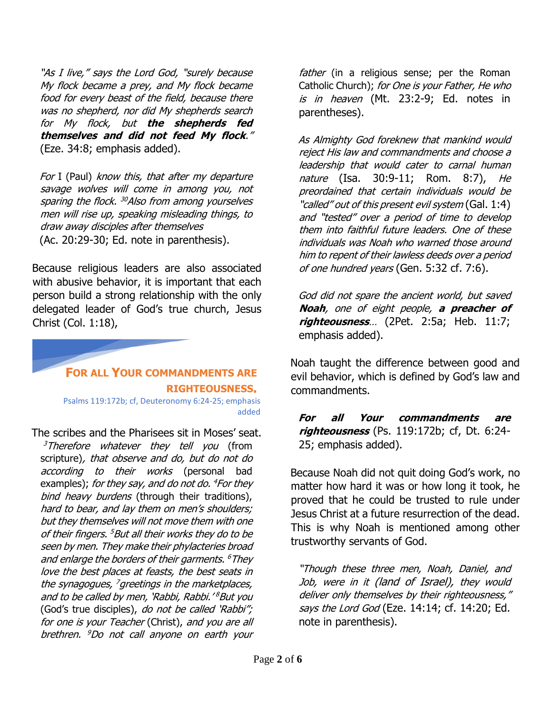"As I live," says the Lord God, "surely because My flock became a prey, and My flock became food for every beast of the field, because there was no shepherd, nor did My shepherds search for My flock, but **the shepherds fed themselves and did not feed My flock**." (Eze. 34:8; emphasis added).

For I (Paul) know this, that after my departure savage wolves will come in among you, not sparing the flock. <sup>30</sup>Also from among yourselves men will rise up, speaking misleading things, to draw away disciples after themselves (Ac. 20:29-30; Ed. note in parenthesis).

Because religious leaders are also associated with abusive behavior, it is important that each person build a strong relationship with the only delegated leader of God's true church, Jesus Christ (Col. 1:18),



Psalms 119:172b; cf, Deuteronomy 6:24-25; emphasis added

The scribes and the Pharisees sit in Moses' seat.

 $3$ Therefore whatever they tell you (from scripture), that observe and do, but do not do according to their works (personal bad examples); *for they say, and do not do. <sup>4</sup>For they* bind heavy burdens (through their traditions), hard to bear, and lay them on men's shoulders; but they themselves will not move them with one of their fingers. <sup>5</sup>But all their works they do to be seen by men. They make their phylacteries broad and enlarge the borders of their garments. <sup>6</sup>They love the best places at feasts, the best seats in the synagogues, <sup>7</sup>greetings in the marketplaces, and to be called by men, 'Rabbi, Rabbi.' <sup>8</sup>But you (God's true disciples), do not be called 'Rabbi"; for one is your Teacher (Christ), and you are all brethren. <sup>9</sup>Do not call anyone on earth your

father (in a religious sense; per the Roman Catholic Church); for One is your Father, He who is in heaven (Mt. 23:2-9; Ed. notes in parentheses).

As Almighty God foreknew that mankind would reject His law and commandments and choose a leadership that would cater to carnal human nature (Isa. 30:9-11; Rom. 8:7), He preordained that certain individuals would be "called" out of this present evil system (Gal. 1:4) and "tested" over a period of time to develop them into faithful future leaders. One of these individuals was Noah who warned those around him to repent of their lawless deeds over a period of one hundred years (Gen. 5:32 cf. 7:6).

God did not spare the ancient world, but saved **Noah**, one of eight people, **a preacher of righteousness**… (2Pet. 2:5a; Heb. 11:7; emphasis added).

Noah taught the difference between good and evil behavior, which is defined by God's law and commandments.

**For all Your commandments are righteousness** (Ps. 119:172b; cf, Dt. 6:24- 25; emphasis added).

Because Noah did not quit doing God's work, no matter how hard it was or how long it took, he proved that he could be trusted to rule under Jesus Christ at a future resurrection of the dead. This is why Noah is mentioned among other trustworthy servants of God.

"Though these three men, Noah, Daniel, and Job, were in it (land of Israel), they would deliver only themselves by their righteousness," says the Lord God (Eze. 14:14; cf. 14:20; Ed. note in parenthesis).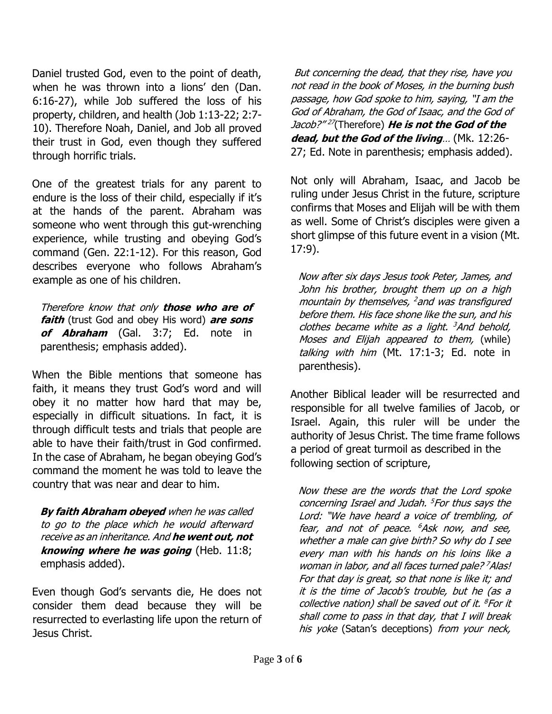Daniel trusted God, even to the point of death, when he was thrown into a lions' den (Dan. 6:16-27), while Job suffered the loss of his property, children, and health (Job 1:13-22; 2:7- 10). Therefore Noah, Daniel, and Job all proved their trust in God, even though they suffered through horrific trials.

One of the greatest trials for any parent to endure is the loss of their child, especially if it's at the hands of the parent. Abraham was someone who went through this gut-wrenching experience, while trusting and obeying God's command (Gen. 22:1-12). For this reason, God describes everyone who follows Abraham's example as one of his children.

Therefore know that only **those who are of faith** (trust God and obey His word) **are sons of Abraham** (Gal. 3:7; Ed. note in parenthesis; emphasis added).

When the Bible mentions that someone has faith, it means they trust God's word and will obey it no matter how hard that may be, especially in difficult situations. In fact, it is through difficult tests and trials that people are able to have their faith/trust in God confirmed. In the case of Abraham, he began obeying God's command the moment he was told to leave the country that was near and dear to him.

**By faith Abraham obeyed** when he was called to go to the place which he would afterward receive as an inheritance. And **he went out, not knowing where he was going** (Heb. 11:8; emphasis added).

Even though God's servants die, He does not consider them dead because they will be resurrected to everlasting life upon the return of Jesus Christ.

But concerning the dead, that they rise, have you not read in the book of Moses, in the burning bush passage, how God spoke to him, saying, "I am the God of Abraham, the God of Isaac, and the God of Jacob?" 27 (Therefore) **He is not the God of the dead, but the God of the living**… (Mk. 12:26- 27; Ed. Note in parenthesis; emphasis added).

Not only will Abraham, Isaac, and Jacob be ruling under Jesus Christ in the future, scripture confirms that Moses and Elijah will be with them as well. Some of Christ's disciples were given a short glimpse of this future event in a vision (Mt. 17:9).

Now after six days Jesus took Peter, James, and John his brother, brought them up on a high mountain by themselves, <sup>2</sup> and was transfigured before them. His face shone like the sun, and his clothes became white as a light. <sup>3</sup>And behold, Moses and Elijah appeared to them, (while) talking with him (Mt. 17:1-3; Ed. note in parenthesis).

Another Biblical leader will be resurrected and responsible for all twelve families of Jacob, or Israel. Again, this ruler will be under the authority of Jesus Christ. The time frame follows a period of great turmoil as described in the following section of scripture,

Now these are the words that the Lord spoke concerning Israel and Judah. <sup>5</sup> For thus says the Lord: "We have heard a voice of trembling, of fear, and not of peace. <sup>6</sup>Ask now, and see, whether a male can give birth? So why do I see every man with his hands on his loins like a woman in labor, and all faces turned pale? <sup>7</sup>Alas! For that day is great, so that none is like it; and it is the time of Jacob's trouble, but he (as a collective nation) shall be saved out of it. <sup>8</sup> For it shall come to pass in that day, that I will break his yoke (Satan's deceptions) from your neck,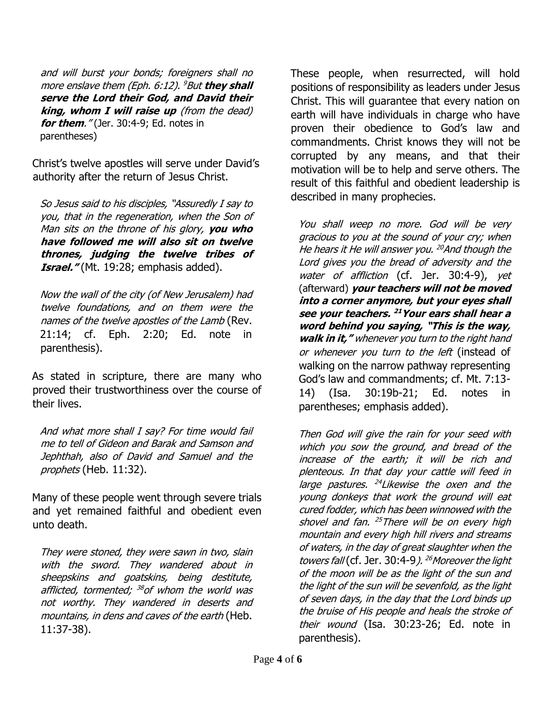and will burst your bonds; foreigners shall no more enslave them (Eph. 6:12). <sup>9</sup>But **they shall serve the Lord their God, and David their king, whom I will raise up** (from the dead) **for them**." (Jer. 30:4-9; Ed. notes in parentheses)

Christ's twelve apostles will serve under David's authority after the return of Jesus Christ.

So Jesus said to his disciples, "Assuredly I say to you, that in the regeneration, when the Son of Man sits on the throne of his glory, **you who have followed me will also sit on twelve thrones, judging the twelve tribes of Israel.**" (Mt. 19:28; emphasis added).

Now the wall of the city (of New Jerusalem) had twelve foundations, and on them were the names of the twelve apostles of the Lamb (Rev. 21:14; cf. Eph. 2:20; Ed. note in parenthesis).

As stated in scripture, there are many who proved their trustworthiness over the course of their lives.

And what more shall I say? For time would fail me to tell of Gideon and Barak and Samson and Jephthah, also of David and Samuel and the prophets (Heb. 11:32).

Many of these people went through severe trials and yet remained faithful and obedient even unto death.

They were stoned, they were sawn in two, slain with the sword. They wandered about in sheepskins and goatskins, being destitute, afflicted, tormented; <sup>38</sup>of whom the world was not worthy. They wandered in deserts and mountains, in dens and caves of the earth (Heb. 11:37-38).

These people, when resurrected, will hold positions of responsibility as leaders under Jesus Christ. This will guarantee that every nation on earth will have individuals in charge who have proven their obedience to God's law and commandments. Christ knows they will not be corrupted by any means, and that their motivation will be to help and serve others. The result of this faithful and obedient leadership is described in many prophecies.

You shall weep no more. God will be very gracious to you at the sound of your cry; when He hears it He will answer you. <sup>20</sup>And though the Lord gives you the bread of adversity and the water of affliction (cf. Jer. 30:4-9), yet (afterward) **your teachers will not be moved into a corner anymore, but your eyes shall see your teachers. <sup>21</sup>Your ears shall hear a word behind you saying, "This is the way, walk in it,"** whenever you turn to the right hand or whenever you turn to the left (instead of walking on the narrow pathway representing God's law and commandments; cf. Mt. 7:13- 14) (Isa. 30:19b-21; Ed. notes in parentheses; emphasis added).

Then God will give the rain for your seed with which you sow the ground, and bread of the increase of the earth; it will be rich and plenteous. In that day your cattle will feed in large pastures. <sup>24</sup> Likewise the oxen and the young donkeys that work the ground will eat cured fodder, which has been winnowed with the shovel and fan. <sup>25</sup>There will be on every high mountain and every high hill rivers and streams of waters, in the day of great slaughter when the towers fall (cf. Jer. 30:4-9). <sup>26</sup> Moreover the light of the moon will be as the light of the sun and the light of the sun will be sevenfold, as the light of seven days, in the day that the Lord binds up the bruise of His people and heals the stroke of their wound (Isa. 30:23-26; Ed. note in parenthesis).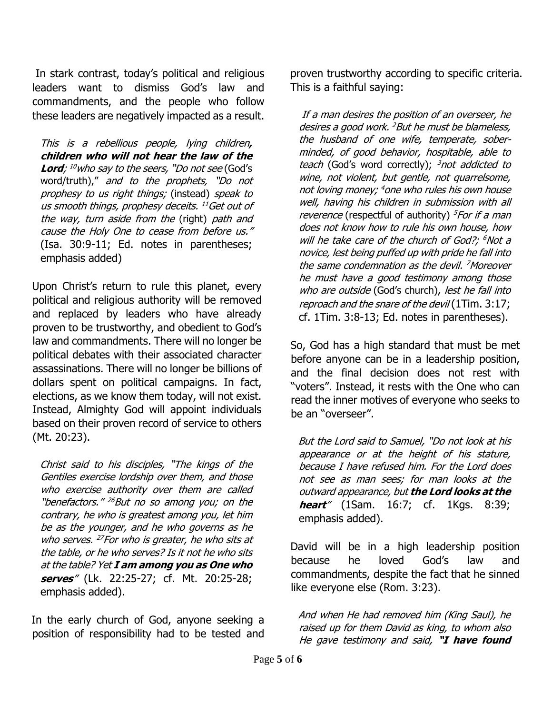In stark contrast, today's political and religious leaders want to dismiss God's law and commandments, and the people who follow these leaders are negatively impacted as a result.

This is a rebellious people, lying children**, children who will not hear the law of the Lord**; <sup>10</sup>who say to the seers, "Do not see (God's word/truth)," and to the prophets, "Do not prophesy to us right things; (instead) speak to us smooth things, prophesy deceits. <sup>11</sup>Get out of the way, turn aside from the (right) path and cause the Holy One to cease from before us." (Isa. 30:9-11; Ed. notes in parentheses; emphasis added)

Upon Christ's return to rule this planet, every political and religious authority will be removed and replaced by leaders who have already proven to be trustworthy, and obedient to God's law and commandments. There will no longer be political debates with their associated character assassinations. There will no longer be billions of dollars spent on political campaigns. In fact, elections, as we know them today, will not exist. Instead, Almighty God will appoint individuals based on their proven record of service to others (Mt. 20:23).

Christ said to his disciples, "The kings of the Gentiles exercise lordship over them, and those who exercise authority over them are called "benefactors." <sup>26</sup>But no so among you; on the contrary, he who is greatest among you, let him be as the younger, and he who governs as he who serves. <sup>27</sup> For who is greater, he who sits at the table, or he who serves? Is it not he who sits at the table? Yet **I am among you as One who serves**" (Lk. 22:25-27; cf. Mt. 20:25-28; emphasis added).

In the early church of God, anyone seeking a position of responsibility had to be tested and proven trustworthy according to specific criteria. This is a faithful saying:

If a man desires the position of an overseer, he desires a good work. <sup>2</sup>But he must be blameless, the husband of one wife, temperate, soberminded, of good behavior, hospitable, able to teach (God's word correctly);  $3$ not addicted to wine, not violent, but gentle, not quarrelsome, not loving money; <sup>4</sup>one who rules his own house well, having his children in submission with all reverence (respectful of authority)  $5$ For if a man does not know how to rule his own house, how will he take care of the church of God?; <sup>6</sup>Not a novice, lest being puffed up with pride he fall into the same condemnation as the devil. <sup>7</sup>Moreover he must have a good testimony among those who are outside (God's church), lest he fall into reproach and the snare of the devil (1Tim. 3:17; cf. 1Tim. 3:8-13; Ed. notes in parentheses).

So, God has a high standard that must be met before anyone can be in a leadership position, and the final decision does not rest with "voters". Instead, it rests with the One who can read the inner motives of everyone who seeks to be an "overseer".

But the Lord said to Samuel, "Do not look at his appearance or at the height of his stature, because I have refused him. For the Lord does not see as man sees; for man looks at the outward appearance, but **the Lord looks at the heart**" (1Sam. 16:7; cf. 1Kgs. 8:39; emphasis added).

David will be in a high leadership position because he loved God's law and commandments, despite the fact that he sinned like everyone else (Rom. 3:23).

And when He had removed him (King Saul), he raised up for them David as king, to whom also He gave testimony and said, **"I have found**